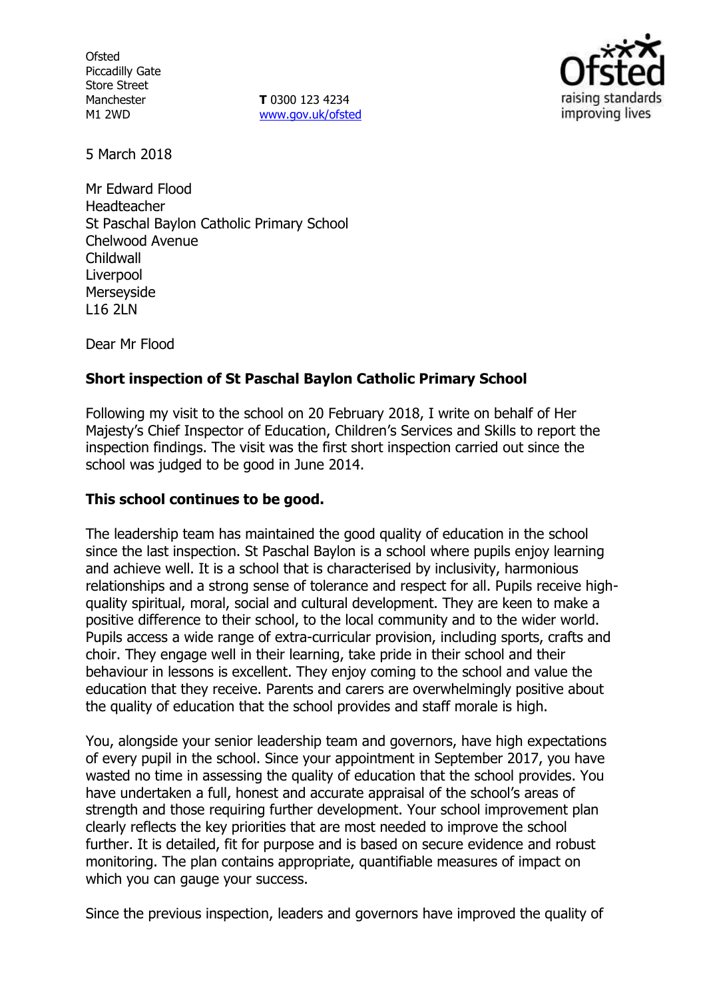**Ofsted** Piccadilly Gate Store Street Manchester M1 2WD

**T** 0300 123 4234 www.gov.uk/ofsted



5 March 2018

Mr Edward Flood Headteacher St Paschal Baylon Catholic Primary School Chelwood Avenue Childwall Liverpool Merseyside L16 2LN

Dear Mr Flood

## **Short inspection of St Paschal Baylon Catholic Primary School**

Following my visit to the school on 20 February 2018, I write on behalf of Her Majesty's Chief Inspector of Education, Children's Services and Skills to report the inspection findings. The visit was the first short inspection carried out since the school was judged to be good in June 2014.

### **This school continues to be good.**

The leadership team has maintained the good quality of education in the school since the last inspection. St Paschal Baylon is a school where pupils enjoy learning and achieve well. It is a school that is characterised by inclusivity, harmonious relationships and a strong sense of tolerance and respect for all. Pupils receive highquality spiritual, moral, social and cultural development. They are keen to make a positive difference to their school, to the local community and to the wider world. Pupils access a wide range of extra-curricular provision, including sports, crafts and choir. They engage well in their learning, take pride in their school and their behaviour in lessons is excellent. They enjoy coming to the school and value the education that they receive. Parents and carers are overwhelmingly positive about the quality of education that the school provides and staff morale is high.

You, alongside your senior leadership team and governors, have high expectations of every pupil in the school. Since your appointment in September 2017, you have wasted no time in assessing the quality of education that the school provides. You have undertaken a full, honest and accurate appraisal of the school's areas of strength and those requiring further development. Your school improvement plan clearly reflects the key priorities that are most needed to improve the school further. It is detailed, fit for purpose and is based on secure evidence and robust monitoring. The plan contains appropriate, quantifiable measures of impact on which you can gauge your success.

Since the previous inspection, leaders and governors have improved the quality of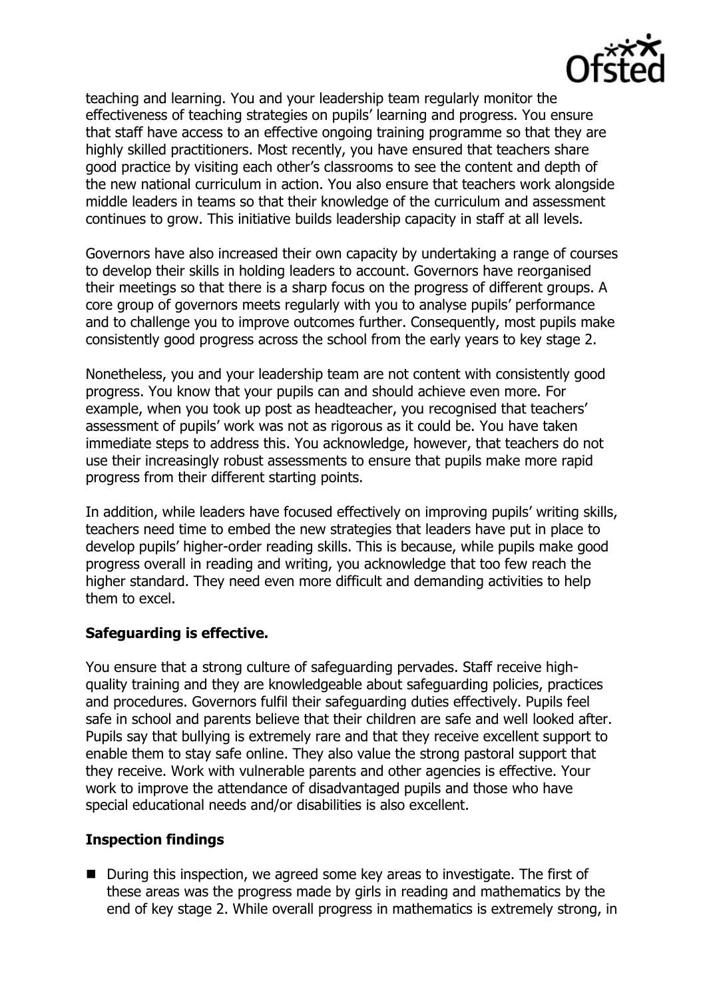

teaching and learning. You and your leadership team regularly monitor the effectiveness of teaching strategies on pupils' learning and progress. You ensure that staff have access to an effective ongoing training programme so that they are highly skilled practitioners. Most recently, you have ensured that teachers share good practice by visiting each other's classrooms to see the content and depth of the new national curriculum in action. You also ensure that teachers work alongside middle leaders in teams so that their knowledge of the curriculum and assessment continues to grow. This initiative builds leadership capacity in staff at all levels.

Governors have also increased their own capacity by undertaking a range of courses to develop their skills in holding leaders to account. Governors have reorganised their meetings so that there is a sharp focus on the progress of different groups. A core group of governors meets regularly with you to analyse pupils' performance and to challenge you to improve outcomes further. Consequently, most pupils make consistently good progress across the school from the early years to key stage 2.

Nonetheless, you and your leadership team are not content with consistently good progress. You know that your pupils can and should achieve even more. For example, when you took up post as headteacher, you recognised that teachers' assessment of pupils' work was not as rigorous as it could be. You have taken immediate steps to address this. You acknowledge, however, that teachers do not use their increasingly robust assessments to ensure that pupils make more rapid progress from their different starting points.

In addition, while leaders have focused effectively on improving pupils' writing skills, teachers need time to embed the new strategies that leaders have put in place to develop pupils' higher-order reading skills. This is because, while pupils make good progress overall in reading and writing, you acknowledge that too few reach the higher standard. They need even more difficult and demanding activities to help them to excel.

# **Safeguarding is effective.**

You ensure that a strong culture of safeguarding pervades. Staff receive highquality training and they are knowledgeable about safeguarding policies, practices and procedures. Governors fulfil their safeguarding duties effectively. Pupils feel safe in school and parents believe that their children are safe and well looked after. Pupils say that bullying is extremely rare and that they receive excellent support to enable them to stay safe online. They also value the strong pastoral support that they receive. Work with vulnerable parents and other agencies is effective. Your work to improve the attendance of disadvantaged pupils and those who have special educational needs and/or disabilities is also excellent.

#### **Inspection findings**

■ During this inspection, we agreed some key areas to investigate. The first of these areas was the progress made by girls in reading and mathematics by the end of key stage 2. While overall progress in mathematics is extremely strong, in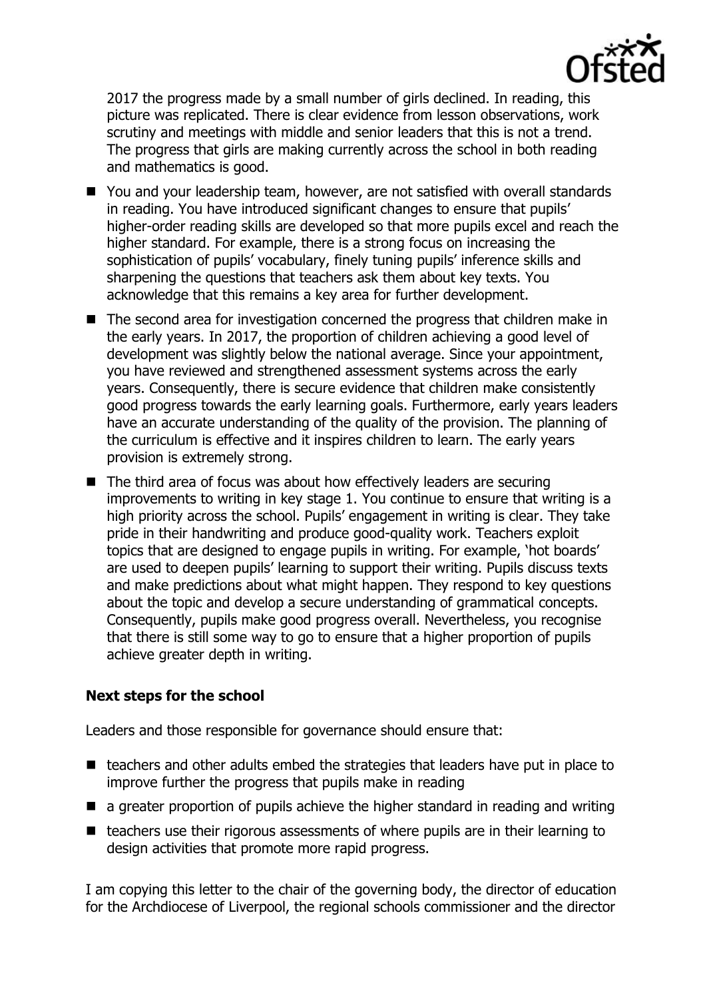

2017 the progress made by a small number of girls declined. In reading, this picture was replicated. There is clear evidence from lesson observations, work scrutiny and meetings with middle and senior leaders that this is not a trend. The progress that girls are making currently across the school in both reading and mathematics is good.

- You and your leadership team, however, are not satisfied with overall standards in reading. You have introduced significant changes to ensure that pupils' higher-order reading skills are developed so that more pupils excel and reach the higher standard. For example, there is a strong focus on increasing the sophistication of pupils' vocabulary, finely tuning pupils' inference skills and sharpening the questions that teachers ask them about key texts. You acknowledge that this remains a key area for further development.
- The second area for investigation concerned the progress that children make in the early years. In 2017, the proportion of children achieving a good level of development was slightly below the national average. Since your appointment, you have reviewed and strengthened assessment systems across the early years. Consequently, there is secure evidence that children make consistently good progress towards the early learning goals. Furthermore, early years leaders have an accurate understanding of the quality of the provision. The planning of the curriculum is effective and it inspires children to learn. The early years provision is extremely strong.
- The third area of focus was about how effectively leaders are securing improvements to writing in key stage 1. You continue to ensure that writing is a high priority across the school. Pupils' engagement in writing is clear. They take pride in their handwriting and produce good-quality work. Teachers exploit topics that are designed to engage pupils in writing. For example, 'hot boards' are used to deepen pupils' learning to support their writing. Pupils discuss texts and make predictions about what might happen. They respond to key questions about the topic and develop a secure understanding of grammatical concepts. Consequently, pupils make good progress overall. Nevertheless, you recognise that there is still some way to go to ensure that a higher proportion of pupils achieve greater depth in writing.

# **Next steps for the school**

Leaders and those responsible for governance should ensure that:

- $\blacksquare$  teachers and other adults embed the strategies that leaders have put in place to improve further the progress that pupils make in reading
- **a** a greater proportion of pupils achieve the higher standard in reading and writing
- $\blacksquare$  teachers use their rigorous assessments of where pupils are in their learning to design activities that promote more rapid progress.

I am copying this letter to the chair of the governing body, the director of education for the Archdiocese of Liverpool, the regional schools commissioner and the director